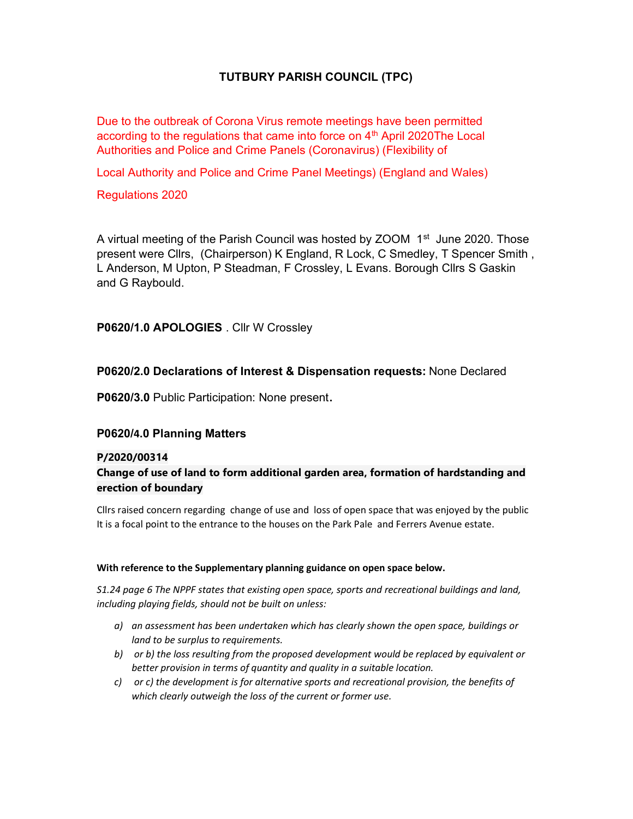# TUTBURY PARISH COUNCIL (TPC)

Due to the outbreak of Corona Virus remote meetings have been permitted according to the regulations that came into force on  $4<sup>th</sup>$  April 2020The Local Authorities and Police and Crime Panels (Coronavirus) (Flexibility of

Local Authority and Police and Crime Panel Meetings) (England and Wales)

Regulations 2020

A virtual meeting of the Parish Council was hosted by ZOOM  $1<sup>st</sup>$  June 2020. Those present were Cllrs, (Chairperson) K England, R Lock, C Smedley, T Spencer Smith , L Anderson, M Upton, P Steadman, F Crossley, L Evans. Borough Cllrs S Gaskin and G Raybould.

P0620/1.0 APOLOGIES . Cllr W Crossley

## P0620/2.0 Declarations of Interest & Dispensation requests: None Declared

P0620/3.0 Public Participation: None present.

# P0620/4.0 Planning Matters

## P/2020/00314

# Change of use of land to form additional garden area, formation of hardstanding and erection of boundary

Cllrs raised concern regarding change of use and loss of open space that was enjoyed by the public It is a focal point to the entrance to the houses on the Park Pale and Ferrers Avenue estate.

#### With reference to the Supplementary planning guidance on open space below.

S1.24 page 6 The NPPF states that existing open space, sports and recreational buildings and land, including playing fields, should not be built on unless:

- a) an assessment has been undertaken which has clearly shown the open space, buildings or land to be surplus to requirements.
- b) or b) the loss resulting from the proposed development would be replaced by equivalent or better provision in terms of quantity and quality in a suitable location.
- c) or c) the development is for alternative sports and recreational provision, the benefits of which clearly outweigh the loss of the current or former use.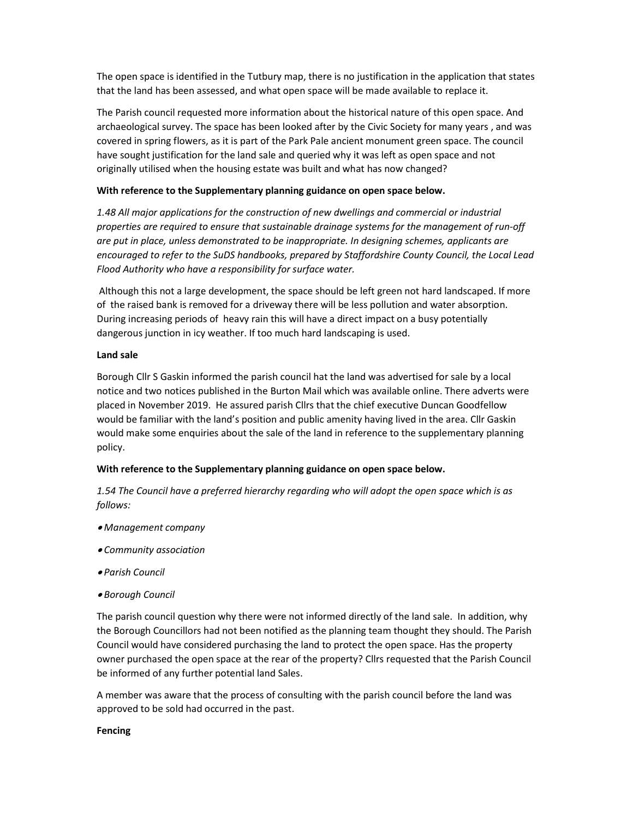The open space is identified in the Tutbury map, there is no justification in the application that states that the land has been assessed, and what open space will be made available to replace it.

The Parish council requested more information about the historical nature of this open space. And archaeological survey. The space has been looked after by the Civic Society for many years , and was covered in spring flowers, as it is part of the Park Pale ancient monument green space. The council have sought justification for the land sale and queried why it was left as open space and not originally utilised when the housing estate was built and what has now changed?

#### With reference to the Supplementary planning guidance on open space below.

1.48 All major applications for the construction of new dwellings and commercial or industrial properties are required to ensure that sustainable drainage systems for the management of run-off are put in place, unless demonstrated to be inappropriate. In designing schemes, applicants are encouraged to refer to the SuDS handbooks, prepared by Staffordshire County Council, the Local Lead Flood Authority who have a responsibility for surface water.

 Although this not a large development, the space should be left green not hard landscaped. If more of the raised bank is removed for a driveway there will be less pollution and water absorption. During increasing periods of heavy rain this will have a direct impact on a busy potentially dangerous junction in icy weather. If too much hard landscaping is used.

#### Land sale

Borough Cllr S Gaskin informed the parish council hat the land was advertised for sale by a local notice and two notices published in the Burton Mail which was available online. There adverts were placed in November 2019. He assured parish Cllrs that the chief executive Duncan Goodfellow would be familiar with the land's position and public amenity having lived in the area. Cllr Gaskin would make some enquiries about the sale of the land in reference to the supplementary planning policy.

## With reference to the Supplementary planning guidance on open space below.

1.54 The Council have a preferred hierarchy regarding who will adopt the open space which is as follows:

- Management company
- Community association
- Parish Council
- Borough Council

The parish council question why there were not informed directly of the land sale. In addition, why the Borough Councillors had not been notified as the planning team thought they should. The Parish Council would have considered purchasing the land to protect the open space. Has the property owner purchased the open space at the rear of the property? Cllrs requested that the Parish Council be informed of any further potential land Sales.

A member was aware that the process of consulting with the parish council before the land was approved to be sold had occurred in the past.

#### Fencing